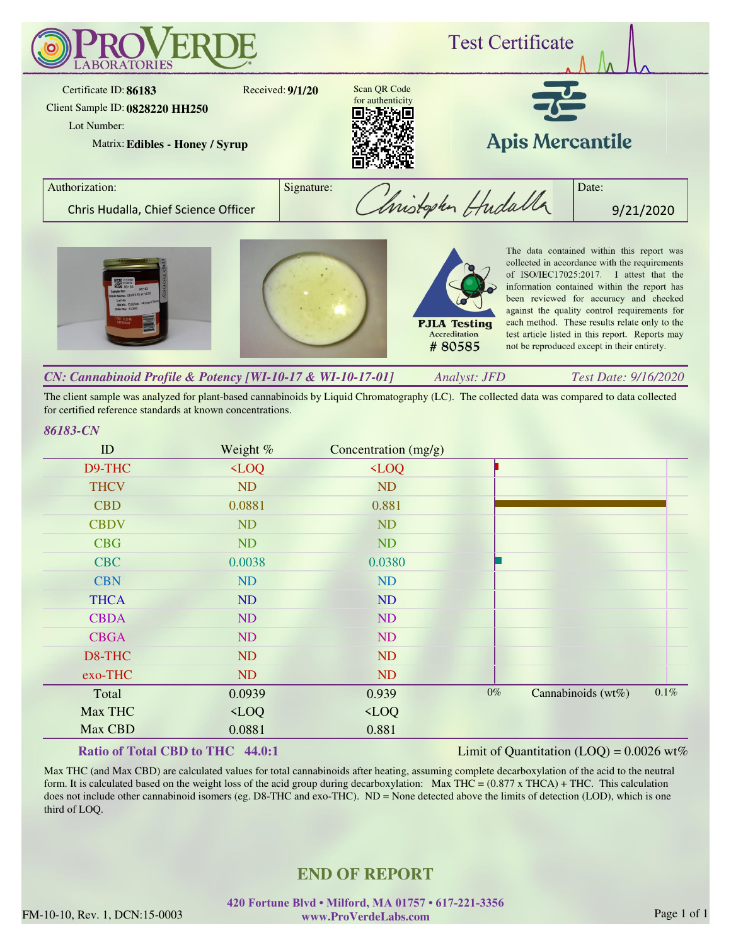

The client sample was analyzed for plant-based cannabinoids by Liquid Chromatography (LC). The collected data was compared to data collected for certified reference standards at known concentrations.

#### *86183-CN*

| ID          | Weight %   | Concentration (mg/g) |       |                    |         |
|-------------|------------|----------------------|-------|--------------------|---------|
| D9-THC      | $\sim$ LOQ | $\sim$ LOQ           |       |                    |         |
| <b>THCV</b> | ND         | <b>ND</b>            |       |                    |         |
| <b>CBD</b>  | 0.0881     | 0.881                |       |                    |         |
| <b>CBDV</b> | ND         | <b>ND</b>            |       |                    |         |
| <b>CBG</b>  | ND         | <b>ND</b>            |       |                    |         |
| <b>CBC</b>  | 0.0038     | 0.0380               |       |                    |         |
| <b>CBN</b>  | ND         | ND                   |       |                    |         |
| <b>THCA</b> | ND         | ND                   |       |                    |         |
| <b>CBDA</b> | ND         | <b>ND</b>            |       |                    |         |
| <b>CBGA</b> | ND         | ND                   |       |                    |         |
| D8-THC      | <b>ND</b>  | <b>ND</b>            |       |                    |         |
| exo-THC     | ND         | <b>ND</b>            |       |                    |         |
| Total       | 0.0939     | 0.939                | $0\%$ | Cannabinoids (wt%) | $0.1\%$ |
| Max THC     | $\sim$ LOQ | $\sim$ LOQ           |       |                    |         |
| Max CBD     | 0.0881     | 0.881                |       |                    |         |

## **Ratio of Total CBD to THC 44.0:1**

Limit of Quantitation  $(LOQ) = 0.0026$  wt%

Max THC (and Max CBD) are calculated values for total cannabinoids after heating, assuming complete decarboxylation of the acid to the neutral form. It is calculated based on the weight loss of the acid group during decarboxylation: Max THC =  $(0.877 \times THCA) + THC$ . This calculation does not include other cannabinoid isomers (eg. D8-THC and exo-THC). ND = None detected above the limits of detection (LOD), which is one third of LOQ.

# **END OF REPORT**

FM-10-10, Rev. 1, DCN:15-0003 www.ProVerdeLabs.com Page 1 of 1 **420 Fortune Blvd • Milford, MA 01757 • 617-221-3356 www.ProVerdeLabs.com**